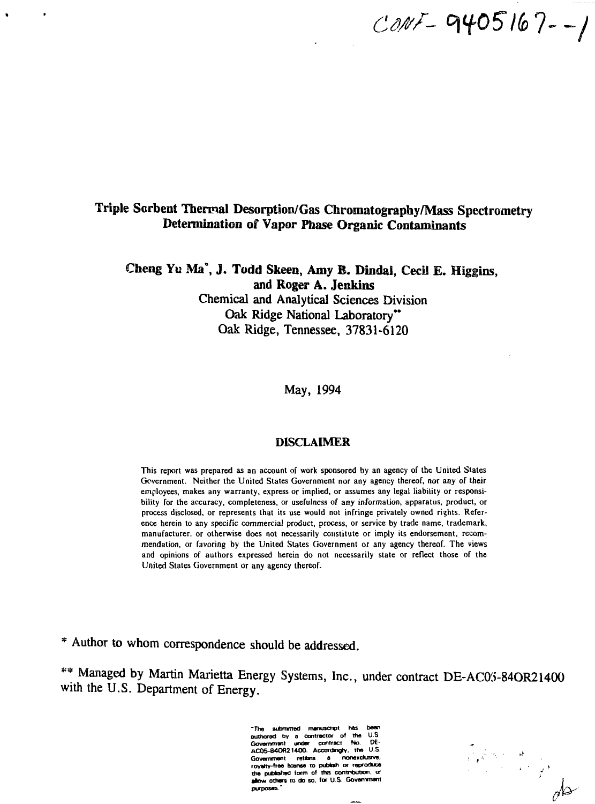$COMF - 9405167 - 1$ 

# Triple Sorbent Thermal Desorption/Gas Chromatography/Mass Spectrometry Determination of Vapor Phase Organic Contaminants

Cheng Yu Ma<sup>\*</sup>. J. Todd Skeen, Amy B. Dindal, Cecil E. Higgins, and Roger A. **Jenkins** Chemical and Analytical Sciences Division Oak Ridge National Laboratory" Oak Ridge, Tennessee, 37831-6120

May, 1994

#### DISCLAIMER

This report was prepared as an account of work sponsored by an agency of the United States Government. Neither the United States Government nor any agency thereof, nor any of their employees, makes any warranty, express or implied, or assumes any legal liability or responsibility for the accuracy, completeness, or usefulness of any information, apparatus, product, or process disclosed, or represents that its use would not infringe privately owned rights. Reference herein to any specific commercial product, process, or service by trade name, trademark, manufacturer, or otherwise does not necessarily constitute or imply its endorsement, recommendation, or favoring by the United States Government or any agency thereof. The views and opinions of authors expressed herein do not necessarily state or reflect those of the United States Government or any agency thereof.

\* Author to whom correspondence should be addressed.

\*\* Managed by Martin Marietta Energy Systems, Inc., under contract DE-AC03-84OR21400 with the U.S. Department of Energy.

> **•The submrrted manuscnpt has besn authored by a contractor of tha U.S Government under contract No D€- AC05-84OR214O0. Accordngry. ths U.S. Gouomment ratttns a none\*du3rvw. royalty-tree bconae to publish or reproduce** the published form of this contribution, or **allow others to do so. for U S Govsnvnant purposes."**

Elements de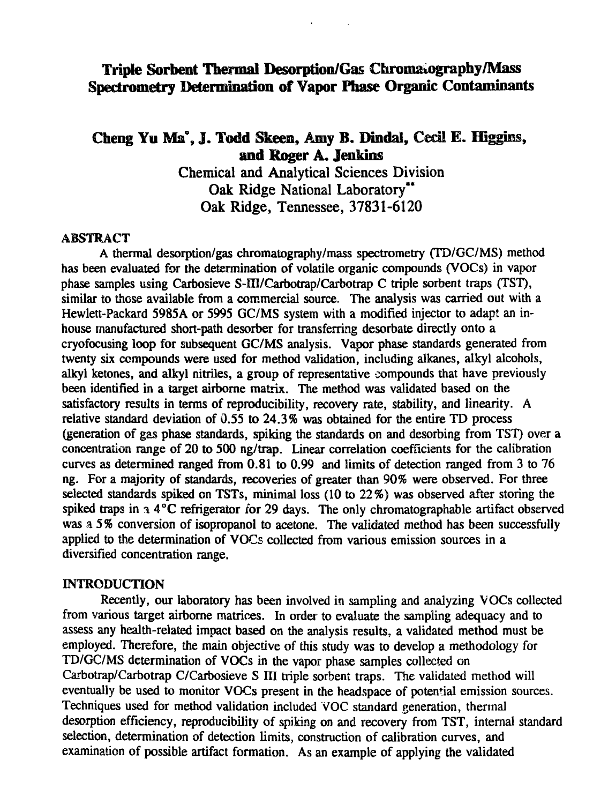# **Triple Sorbent Thermal Desorption/Gas Chromatography/Mass Spectrometry Determination of Vapor Phase Organic Contaminants**

# Cheng Yu Ma<sup>°</sup>, J. Todd Skeen, Amy B. Dindal, Cecil E. Higgins, **and Roger A. Jenkins**

Chemical and Analytical Sciences Division Oak Ridge National Laboratory" Oak Ridge, Tennessee, 37831-6120

#### ABSTRACT

A thermal desorption/gas chromatography/mass spectrometry (TD/GC/MS) method has been evaluated for the determination of volatile organic compounds (VOCs) in vapor phase samples using Carbosieve S-III/Carbotrap/Carbotrap C triple sorbent traps (TST), similar to those available from a commercial source. The analysis was carried out with a Hewlett-Packard 5985A or 5995 GC/MS system with a modified injector to adapt an inhouse manufactured short-path desorber for transferring desorbate directly onto a cryofocusing loop for subsequent GC/MS analysis. Vapor phase standards generated from twenty six compounds were used for method validation, including alkanes, alkyl alcohols, alkyl ketones, and alkyl nitriles, a group of representative compounds that have previously been identified in a target airborne matrix. The method was validated based on the satisfactory results in terms of reproducibility, recovery rate, stability, and linearity. A relative standard deviation of 0.55 to 24.3% was obtained for the entire TD process (generation of gas phase standards, spiking the standards on and desorbing from TST) over a concentration range of 20 to 500 ng/trap. Linear correlation coefficients for the calibration curves as determined ranged from 0.81 to 0.99 and limits of detection ranged from 3 to 76 ng. For a majority of standards, recoveries of greater than 90% were observed. For three selected standards spiked on TSTs, minimal loss (10 to 22%) was observed after storing the spiked traps in  $\alpha$  4°C refrigerator for 29 days. The only chromatographable artifact observed was a 5% conversion of isopropanol to acetone. The validated method has been successfully applied to the determination of VOCs collected from various emission sources in a diversified concentration range.

#### INTRODUCTION

Recently, our laboratory has been involved in sampling and analyzing VOCs collected from various target airborne matrices. In order to evaluate the sampling adequacy and to assess any health-related impact based on the analysis results, a validated method must be employed. Therefore, the main objective of this study was to develop a methodology for TD/GC/MS determination of VOCs in the vapor phase samples collected on Carbotrap/Carbotrap C/Carbosieve S III triple sorbent traps. The validated method will eventually be used to monitor VOCs present in the headspace of potential emission sources. Techniques used for method validation included VOC standard generation, thermal desorption efficiency, reproducibility of spiking on and recovery from TST, internal standard selection, determination of detection limits, construction of calibration curves, and examination of possible artifact formation. As an example of applying the validated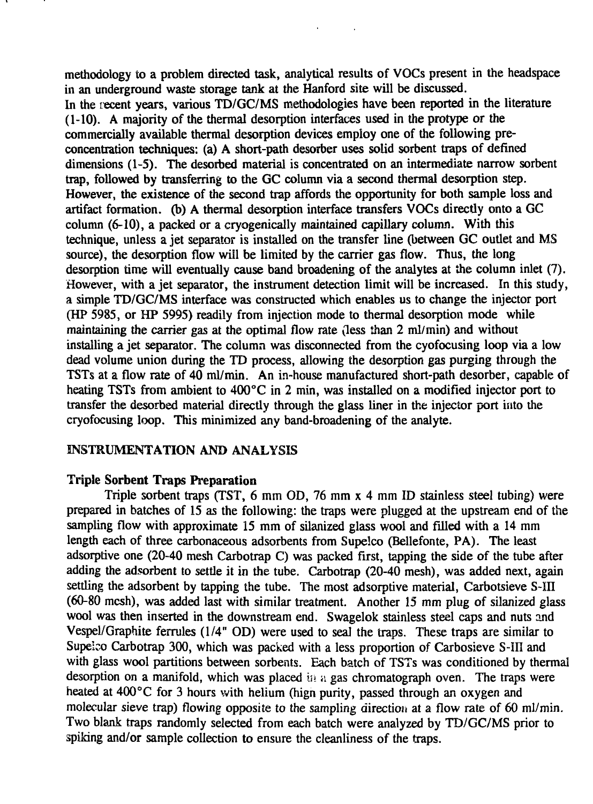methodology to a problem directed task, analytical results of VOCs present in the headspace in an underground waste storage tank at the Hanford site will be discussed. In the recent years, various TD/GC/MS methodologies have been reported in the literature (1-10). A majority of the thermal desorption interfaces used in the protype or the commercially available thermal desorption devices employ one of the following preconcentration techniques: (a) A short-path desorber uses solid sorbent traps of defined dimensions (1-5). The desorbed material is concentrated on an intermediate narrow sorbent trap, followed by transferring to the GC column via a second thermal desorption step. However, the existence of the second trap affords the opportunity for both sample loss and artifact formation, (b) A thermal desorption interface transfers VOCs directly onto a GC column (6-10), a packed or a cryogenically maintained capillary column. With this technique, unless a jet separator is installed on the transfer line (between GC outlet and MS source), the desorption flow will be limited by the carrier gas flow. Thus, the long desorption time will eventually cause band broadening of the analytes at the column inlet (7). However, with a jet separator, the instrument detection limit will be increased. In this study, a simple TD/GC/MS interface was constructed which enables us to change the injector port (HP 5985, or HP 5995) readily from injection mode to thermal desorption mode while maintaining the carrier gas at the optimal flow rate (less than 2 ml/min) and without installing a jet separator. The column was disconnected from the cyofocusing loop via a low dead volume union during the TD process, allowing the desorption gas purging through the TSTs at a flow rate of 40 ml/min. An in-house manufactured short-path desorber, capable of heating TSTs from ambient to 400°C in 2 min, was installed on a modified injector port to transfer the desorbed material directly through the glass liner in the injector port into the cryofocusing loop. This minimized any band-broadening of the analyte.

## INSTRUMENTATION AND ANALYSIS

## Triple Sorbent Traps Preparation

Triple sorbent traps (TST, 6 mm OD, 76 mm x 4 mm ID stainless steel tubing) were prepared in batches of 15 as the following: the traps were plugged at the upstream end of the sampling flow with approximate 15 mm of silanized glass wool and filled with a 14 mm length each of three carbonaceous adsorbents from Supelco (Bellefonte, PA). The least adsorptive one (20-40 mesh Carbotrap C) was packed first, tapping the side of the tube after adding the adsorbent to settle it in the tube. Carbotrap (20-40 mesh), was added next, again settling the adsorbent by tapping the tube. The most adsorptive material, Carbotsieve S-III (60-80 mesh), was added last with similar treatment. Another 15 mm plug of silanized glass wool was then inserted in the downstream end. Swagelok stainless steel caps and nuts and Vespel/Graphite ferrules (1/4" OD) were used to seal the traps. These traps are similar to Supeico Carbotrap 300, which was packed with a less proportion of Carbosieve S-III and with glass wool partitions between sorbents. Each batch of TSTs was conditioned by thermal desorption on a manifold, which was placed in a gas chromatograph oven. The traps were heated at 400°C for 3 hours with helium (hign purity, passed through an oxygen and molecular sieve trap) flowing opposite to the sampling direction at a flow rate of 60 ml/min. Two blank traps randomly selected from each batch were analyzed by TD/GC/MS prior to spiking and/or sample collection to ensure the cleanliness of the traps.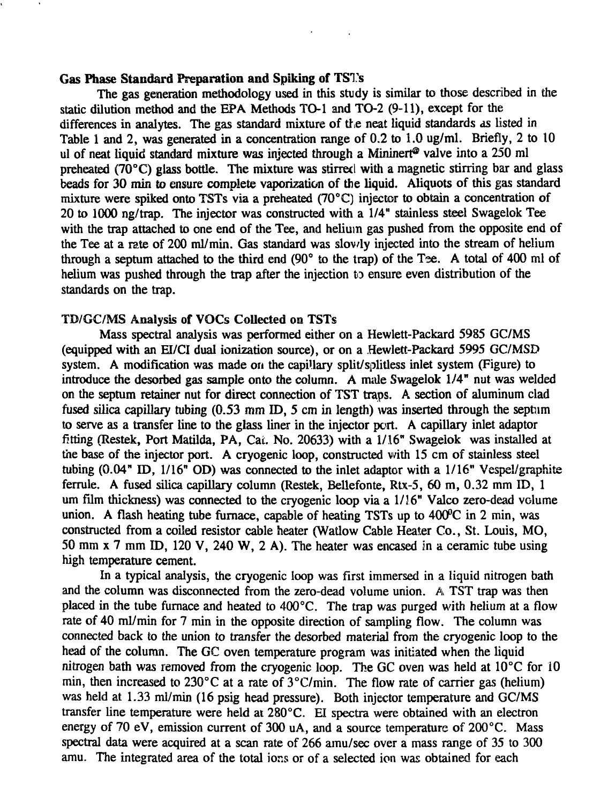## Gas Phase Standard Preparation and Spiking of TST's

The gas generation methodology used in this study is similar to those described in the static dilution method and the EPA Methods TO-1 and TO-2 (9-11), except for the differences in analytes. The gas standard mixture of the neat liquid standards as listed in Table 1 and *2,* was generated in a concentration range of 0.2 to 1.0 ug/ml. Briefly, 2 to 10 ul of neat liquid standard mixture was injected through a Mininert<sup>®</sup> valve into a 250 ml preheated ( $70^{\circ}$ C) glass bottle. The mixture was stirred with a magnetic stirring bar and glass beads for 30 min to ensure complete vaporization of the liquid. Aliquots of this gas standard mixture were spiked onto TSTs via a preheated (70°C) injector to obtain a concentration of 20 to 1000 ng/trap. The injector was constructed with a 1/4" stainless steel Swagelok Tee with the trap attached to one end of the Tee, and helium gas pushed from the opposite end of the Tee at a rate of 200 ml/min. Gas standard was slov/ly injected into the stream of helium through a septum attached to the third end  $(90^\circ$  to the trap) of the Tee. A total of 400 ml of helium was pushed through the trap after the injection to ensure even distribution of the standards on the trap.

#### TO/GC/MS Analysis of VOCs Collected on TSTs

Mass spectral analysis was performed either on a Hewlett-Packard 5985 GC/MS (equipped with an EI/CI dual ionization source), or on a Hewlett-Packard 5995 GC/MSD system. A modification was made on the capillary split/splitless inlet system (Figure) to introduce the desorbed gas sample onto the column. A male Swagelok 1/4" nut was welded on the septum retainer nut for direct connection of TST traps. A section of aluminum clad fused silica capillary tubing (0.53 mm ID, 5 cm in length) was inserted through the septum to serve as a transfer line to the glass liner in the injector port. A capillary inlet adaptor fitting (Restek, Port Matilda, PA, Cat. No. 20633) with a 1/16" Swagelok was installed at the base of the injector port. A cryogenic loop, constructed with 15 cm of stainless steel tubing (0.04" ID, 1/16" OD) was connected to the inlet adaptor with a 1/16" Vespel/graphite ferrule. A fused silica capillary column (Restek, Bellefonte, Rtx-5, 60 m, 0.32 mm ID, 1 um film thickness) was connected to the cryogenic loop via a 1/16" Valco zero-dead volume union. A flash heating tube furnace, capable of heating TSTs up to 400°C in 2 min, was constructed from a coiled resistor cable heater (Watlow Cable Heater Co., St. Louis, MO, 50 mm x 7 mm ID, 120 V, 240 W, 2 A). The heater was encased in a ceramic tube using high temperature cement.

In a typical analysis, the cryogenic loop was first immersed in a liquid nitrogen bath and the column was disconnected from the zero-dead volume union. A TST trap was then placed in the tube furnace and heated to 400°C. The trap was purged with helium at a flow rate of 40 ml/min for 7 min in the opposite direction of sampling flow. The column was connected back to the union to transfer the desorbed material from the cryogenic loop to the head of the column. The GC oven temperature program was initiated when the liquid nitrogen bath was removed from the cryogenic loop. The GC oven was held at 10°C for 10 min, then increased to 230°C at a rate of 3°C/min. The flow rate of carrier gas (helium) was held at 1.33 ml/min (16 psig head pressure). Both injector temperature and GC/MS transfer line temperature were held at 280°C. El spectra were obtained with an electron energy of 70 eV, emission current of 300 uA, and a source temperature of 200°C. Mass spectral data were acquired at a scan rate of 266 amu/sec over a mass range of 35 to 300 amu. The integrated area of the total ions or of a selected ion was obtained for each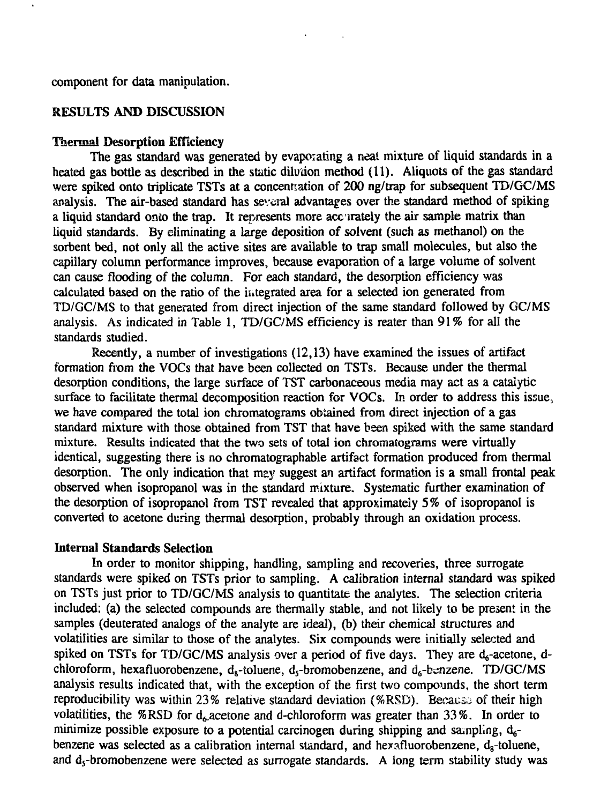component for data manipulation.

## RESULTS AND DISCUSSION

#### Thermal Desorption Efficiency

The gas standard was generated by evaporating a neat mixture of liquid standards in a heated gas bottle as described in the static dilution method  $(11)$ . Aliquots of the gas standard were spiked onto triplicate TSTs at a concentration of 200 ng/trap for subsequent TD/GC/MS analysis. The air-based standard has several advantages over the standard method of spiking a liquid standard onto the trap. It represents more accurately the air sample matrix than liquid standards. By eliminating a large deposition of solvent (such as methanol) on the sorbent bed, not only all the active sites are available to trap small molecules, but also the capillary column performance improves, because evaporation of a large volume of solvent can cause flooding of the column. For each standard, the desorption efficiency was calculated based on the ratio of the integrated area for a selected ion generated from TD/GC/MS to that generated from direct injection of the same standard followed by GC/MS analysis. As indicated in Table 1, TD/GC/MS efficiency is reater than 91% for all the standards studied.

Recently, a number of investigations (12,13) have examined the issues of artifact formation from the VOCs that have been collected on TSTs. Because under the thermal desorption conditions, the large surface of TST carbonaceous media may act as a catalytic surface to facilitate thermal decomposition reaction for VOCs. In order to address this issue. we have compared the total ion chromatograms obtained from direct injection of a gas standard mixture with those obtained from TST that have been spiked with the same standard mixture. Results indicated that the two sets of total ion chromatograms were virtually identical, suggesting there is no chromatographable artifact formation produced from thermal desorption. The only indication that may suggest an artifact formation is a small frontal peak observed when isopropanol was in the standard mixture. Systematic further examination of the desorption of isopropanol from TST revealed that approximately 5% of isopropanol is converted to acetone during thermal desorption, probably through an oxidation process.

#### Internal Standards Selection

In order to monitor shipping, handling, sampling and recoveries, three surrogate standards were spiked on TSTs prior to sampling. A calibration internal standard was spiked on TSTs just prior to TD/GC/MS analysis to quantitate the analytes. The selection criteria included: (a) the selected compounds are thermally stable, and not likely to be present in the samples (deuterated analogs of the analyte are ideal), (b) their chemical structures and volatilities are similar to those of the analytes. Six compounds were initially selected and spiked on TSTs for TD/GC/MS analysis over a period of five days. They are  $d_6$ -acetone, dchloroform, hexafluorobenzene,  $d_8$ -toluene,  $d_5$ -bromobenzene, and  $d_6$ -benzene. TD/GC/MS analysis results indicated that, with the exception of the first two compounds, the short term reproducibility was within 23% relative standard deviation (%RSD). Because of their high volatilities, the %RSD for  $d<sub>c</sub>$  acetone and d-chloroform was greater than 33%. In order to minimize possible exposure to a potential carcinogen during shipping and sampling,  $d_{6}$ benzene was selected as a calibration internal standard, and hexafluorobenzene,  $d_{\alpha}$ -toluene, and  $d_5$ -bromobenzene were selected as surrogate standards. A long term stability study was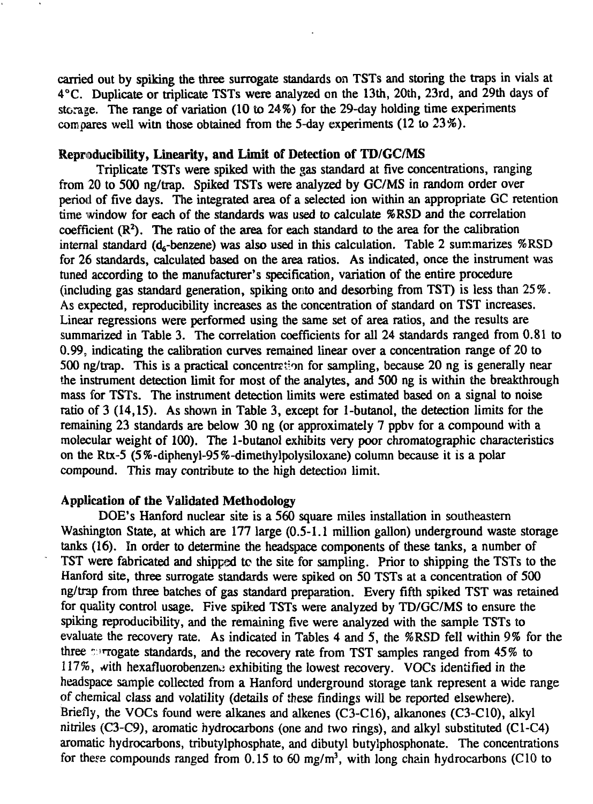carried out by spiking the three surrogate standards on TSTs and storing the traps in vials at 4°C. Duplicate or triplicate TSTs were analyzed on the 13th, 20th, 23rd, and 29th days of storage. The range of variation (10 to 24%) for the 29-day holding time experiments compares well witn those obtained from the 5-day experiments (12 to 23%).

## Reproducibility, Linearity, and Limit of Detection of TD/GC/MS

Triplicate TSTs were spiked with the gas standard at five concentrations, ranging from 20 to 500 ng/trap. Spiked TSTs were analyzed by GC/MS in random order over period of five days. The integrated area of a selected ion within an appropriate GC retention time window for each of the standards was used to calculate %RSD and the correlation coefficient  $(R<sup>2</sup>)$ . The ratio of the area for each standard to the area for the calibration internal standard ( $d_{s}$ -benzene) was also used in this calculation. Table 2 summarizes  $%$ RSD for 26 standards, calculated based on the area ratios. As indicated, once the instrument was tuned according to the manufacturer's specification, variation of the entire procedure (including gas standard generation, spiking onto and desorbing from TST) is less than 25%. As expected, reproducibility increases as the concentration of standard on TST increases. Linear regressions were performed using the same set of area ratios, and the results are summarized in Table 3. The correlation coefficients for all 24 standards ranged from 0.81 to 0.99, indicating the calibration curves remained linear over a concentration range of 20 to 500 ng/trap. This is a practical concentration for sampling, because 20 ng is generally near the instrument detection limit for most of the analytes, and 500 ng is within the breakthrough mass for TSTs. The instrument detection limits were estimated based on a signal to noise ratio of 3 (14,15). As shown in Table 3, except for 1-butanol, the detection limits for the remaining 23 standards are below 30 ng (or approximately 7 ppbv for a compound with a molecular weight of 100). The 1-butanol exhibits very poor chromatographic characteristics on the Rtx-5 (5%-diphenyl-95%-dimethylpolysiloxane) column because it is a polar compound. This may contribute to the high detection limit.

## Application of the Validated Methodology

DOE's Hanford nuclear site is a 560 square miles installation in southeastern Washington State, at which are 177 large (0.5-1.1 million gallon) underground waste storage tanks (16). In order to determine the headspace components of these tanks, a number of TST were fabricated and shipped to the site for sampling. Prior to shipping the TSTs to the Hanford site, three surrogate standards were spiked on 50 TSTs at a concentration of 500 ng/trap from three batches of gas standard preparation. Every fifth spiked TST was retained for quality control usage. Five spiked TSTs were analyzed by TD/GC/MS to ensure the spiking reproducibility, and the remaining five were analyzed with the sample TSTs to evaluate the recovery rate. As indicated in Tables 4 and 5, the %RSD fell within 9% for the three **arrogate** standards, and the recovery rate from TST samples ranged from 45% to  $117\%$ , with hexafluorobenzene exhibiting the lowest recovery. VOCs identified in the headspace sample collected from a Hanford underground storage tank represent a wide range of chemical class and volatility (details of these findings will be reported elsewhere). Briefly, the VOCs found were alkanes and alkenes (C3-C16), alkanones (C3-C10), alkyl nitriles (C3-C9), aromatic hydrocarbons (one and two rings), and alkyl substituted (C1-C4) aromatic hydrocarbons, tributylphosphate, and dibutyl butylphosphonate. The concentrations for these compounds ranged from  $0.15$  to  $60 \text{ me/m}^3$ , with long chain hydrocarbons (C10 to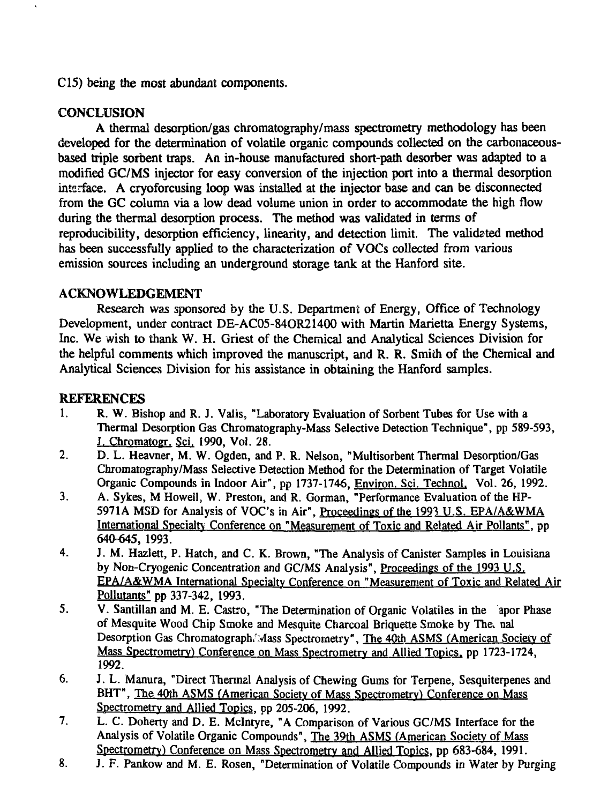C15) being the most abundant components.

# **CONCLUSION**

A thermal desorption/gas chromatography/mass spectrometry methodology has been developed for the determination of volatile organic compounds collected on the carbonaceousbased triple sorbent traps. An in-house manufactured short-path desorber was adapted to a modified GC/MS injector for easy conversion of the injection port into a thermal desorption interface. A cryoforcusing loop was installed at the injector base and can be disconnected from the GC column via a low dead volume union in order to accommodate the high flow during the thermal desorption process. The method was validated in terms of reproducibility, desorption efficiency, linearity, and detection limit. The validated method has been successfully applied to the characterization of VOCs collected from various emission sources including an underground storage tank at the Hanford site.

## ACKNOWLEDGEMENT

Research was sponsored by the U.S. Department of Energy, Office of Technology Development, under contract DE-AC05-84OR21400 with Martin Marietta Energy Systems, Inc. We wish to thank W. H. Griest of the Chemical and Analytical Sciences Division for the helpful comments which improved the manuscript, and R. R. Smith of the Chemical and Analytical Sciences Division for his assistance in obtaining the Hanford samples.

# **REFERENCES**

- 1. R. W. Bishop and R. J. Valis, "Laboratory Evaluation of Sorbent Tubes for Use with a Thermal Desorption Gas Chromatography-Mass Selective Detection Technique", pp 589-593, J. Chromatogr. Sci. 1990, Vol. 28.
- 2. D. L. Heavner, M. W. Ogden, and P. R. Nelson, "Multisorbent Thermal Desorption/Gas Chromatography/Mass Selective Detection Method for the Determination of Target Volatile Organic Compounds in Indoor Air", pp 1737-1746, Environ. Sci. Technol. Vol. 26, 1992.
- 3. A. Sykes, M Howell, W. Preston, and R. Gorman, "Performance Evaluation of the HP-5971A MSD for Analysis of VOC's in Air", Proceedings of the 1993 U.S. EPA/A&WMA International Specialty Conference on "Measurement of Toxic and Related Air Pollants". pp 640-645, 1993.
- 4. J. M. Hazlett, P. Hatch, and C. K. Brown, "The Analysis of Canister Samples in Louisiana by Non-Cryogenic Concentration and GC/MS Analysis", Proceedings of the 1993 U.S. EPA/A&WMA International Specialty Conference on "Measurement of Toxic and Related Air Pollutants" pp 337-342, 1993.
- 5. V. Santillan and M. E. Castro, "The Determination of Organic Volatiles in the apor Phase of Mesquite Wood Chip Smoke and Mesquite Charcoal Briquette Smoke by The. nal Desorption Gas Chromatograph/Mass Spectrometry", The 40th ASMS (American Society of Mass Spectrometrv) Conference on Mass Spectrometry and Allied Topics, pp 1723-1724, 1992.
- 6. J. L. Manura, "Direct Thermal Analysis of Chewing Gums tor Terpene, Sesquiterpenes and BHT", The 40th ASMS (American Society of Mass Spectrometry) Conference on Mass Spectrometry and Allied Topics, pp 205-206, 1992.
- 7. L. C. Doherty and D. E. Mclntyre, "A Comparison of Various GC/MS Interface for the Analysis of Volatile Organic Compounds", The 39th ASMS (American Society of Mass Spectrometry) Conference on Mass Spectrometry and Allied Topics, pp 683-684, 1991.
- 8. J. F. Pankow and M. E. Rosen, "Determination of Volatile Compounds in Water by Purging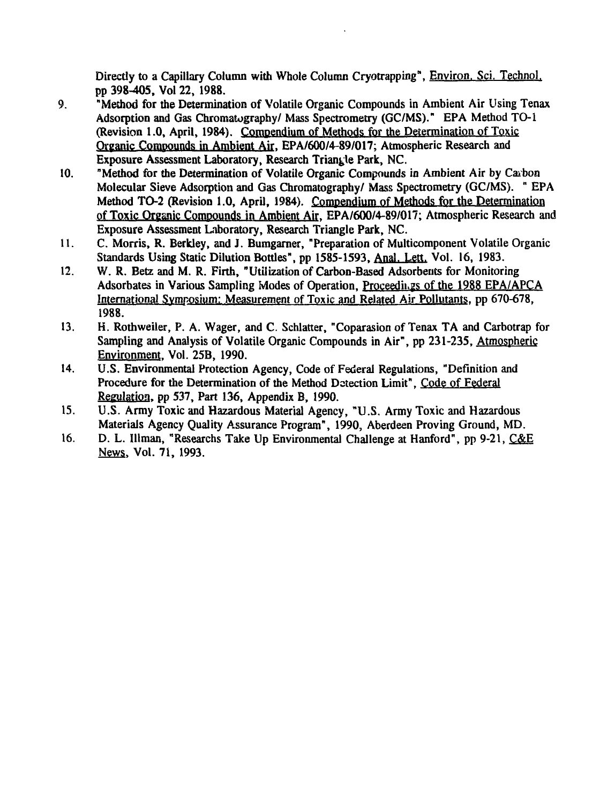Directly to a Capillary Column with Whole Column Cryotrapping", Environ. Sci. Technol. pp 398-405, Vol 22, 1988.

- 9. "Method for the Determination of Volatile Organic Compounds in Ambient Air Using Tenax Adsorption and Gas Chromatography/ Mass Spectrometry (GC/MS)." EPA Method TO-1 (Revision 1.0, April, 1984). Compendium of Methods for the Determination of Toxic Organic Compounds in Ambient Air. EPA/600/4-89/017; Atmospheric Research and Exposure Assessment Laboratory, Research Triangle Park, NC.
- 10. "Method for the Determination of Volatile Organic Compounds in Ambient Air by Carbon Molecular Sieve Adsorption and Gas Chromatography/ Mass Spectrometry (GC/MS). " EPA Method TO-2 (Revision 1.0, April, 1984). Compendium of Methods for the Determination of Toxic Organic Compounds in Ambient Air. EPA/600/4-89/017; Atmospheric Research and Exposure Assessment Laboratory, Research Triangle Park, NC.
- 11. C. Morris, R. Berkley, and J. Bumgarner, "Preparation of Multicomponent Volatile Organic Standards Using Static Dilution Bottles", pp 1585-1593, Anal. Lett. Vol. 16, 1983.
- 12. W. R. Betz and M. R. Firth, "Utilization of Carbon-Based Adsorbents for Monitoring Adsorbates in Various Sampling Modes of Operation, Proceedings of the 1988 EPA/APCA International Symposium: Measurement of Toxic and Related Air Pollutants, pp 670-678, 1988.
- 13. H. Rothweiler, P. A. Wager, and C. Schlatter, "Coparasion of Tenax TA and Carbotrap for Sampling and Analysis of Volatile Organic Compounds in Air", pp 231-235, Atmospheric Environment. Vol. 25B, 1990.
- 14. U.S. Environmental Protection Agency, Code of Federal Regulations, "Definition and Procedure for the Determination of the Method Detection Limit", Code of Federal Regulation, pp 537, Part 136, Appendix B, 1990.
- 15. U.S. Army Toxic and Hazardous Material Agency, "U.S. Army Toxic and Hazardous Materials Agency Quality Assurance Program", 1990, Aberdeen Proving Ground, MD.
- 16. D. L. Illman, "Researchs Take Up Environmental Challenge at Hanford", pp 9-21, C&E News. Vol. 71, 1993.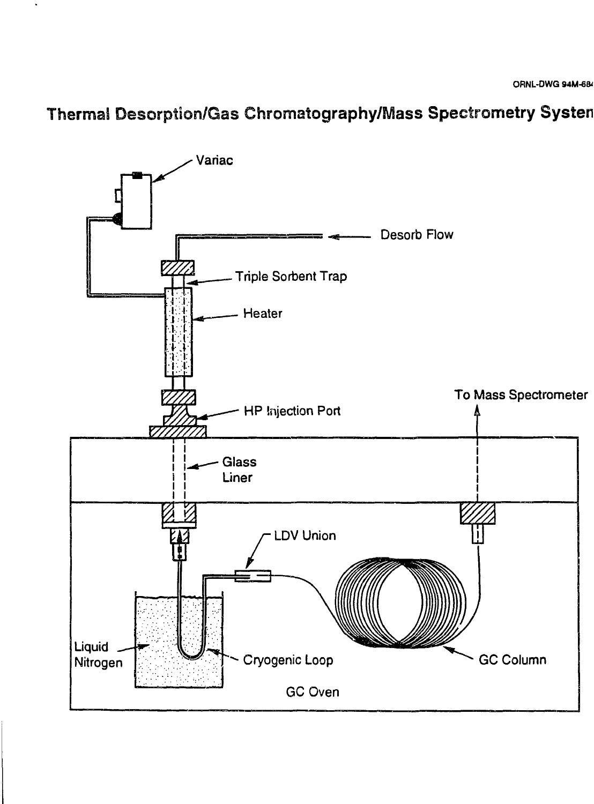# Thermal Desorption/Gas Chromatography/Mass Speetrometry Systen

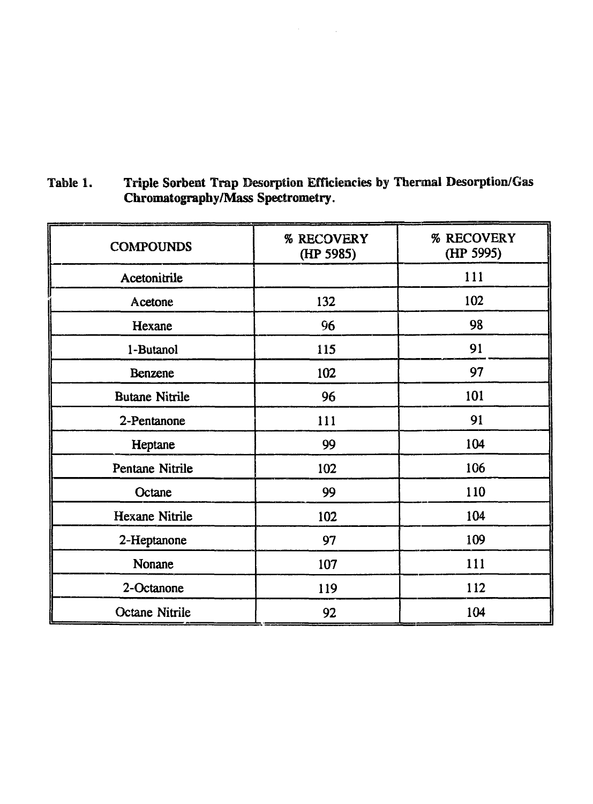| <b>COMPOUNDS</b>      | % RECOVERY<br>% RECOVERY<br>(HP 5995)<br>(HP 5985) |     |
|-----------------------|----------------------------------------------------|-----|
| Acetonitrile          |                                                    | 111 |
| Acetone               | 132                                                | 102 |
| Hexane                | 96                                                 | 98  |
| 1-Butanol             | 115                                                | 91  |
| Benzene               | 102                                                | 97  |
| <b>Butane Nitrile</b> | 96                                                 | 101 |
| 2-Pentanone           | 111                                                | 91  |
| Heptane               | 99                                                 | 104 |
| Pentane Nitrile       | 102                                                | 106 |
| Octane                | 99                                                 | 110 |
| <b>Hexane Nitrile</b> | 102                                                | 104 |
| 2-Heptanone           | 97                                                 | 109 |
| Nonane                | 107                                                | 111 |
| 2-Octanone            | 119                                                | 112 |
| Octane Nitrile        | 92                                                 | 104 |

Table 1. Triple Sorbeut Trap Desorption Efficiencies by Thermal Desorption/Gas Chromatography/Mass Spectrometry.

 $\mathcal{L}$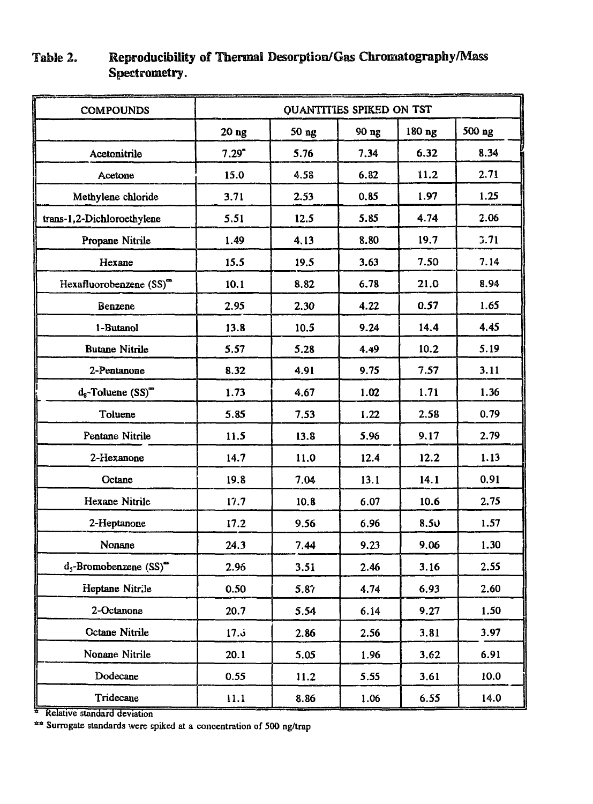| <b>COMPOUNDS</b>                        | QUANTITIES SPIKED ON TST |       |       |        |        |
|-----------------------------------------|--------------------------|-------|-------|--------|--------|
|                                         | $20$ ng                  | 50 ng | 90 ng | 180 ng | 500 ng |
| Acetonitrile                            | $7.29$ <sup>*</sup>      | 5.76  | 7.34  | 6.32   | 8.34   |
| Acetone                                 | 15.0                     | 4.58  | 6.82  | 11.2   | 2.71   |
| Methylene chloride                      | 3.71                     | 2.53  | 0.85  | 1.97   | 1.25   |
| trans-1,2-Dichloroethylene              | 5.51                     | 12.5  | 5.85  | 4.74   | 2.06   |
| Propane Nitrile                         | 1.49                     | 4.13  | 8.80  | 19.7   | 3.71   |
| Hexane                                  | 15.5                     | 19.5  | 3.63  | 7.50   | 7.14   |
| Hexafluorobenzene (SS)"                 | 10.1                     | 8.82  | 6.78  | 21.0   | 8.94   |
| Benzene                                 | 2.95                     | 2.30  | 4.22  | 0.57   | 1.65   |
| 1-Butanol                               | 13.8                     | 10.5  | 9.24  | 14.4   | 4.45   |
| <b>Butane Nitrile</b>                   | 5.57                     | 5.28  | 4.49  | 10.2   | 5.19   |
| 2-Pentanone                             | 8.32                     | 4.91  | 9.75  | 7.57   | 3.11   |
| $d_8$ -Toluene $(SS)$ <sup>**</sup>     | 1.73                     | 4.67  | 1.02  | 1.71   | 1.36   |
| Toluene                                 | 5.85                     | 7.53  | 1.22  | 2.58   | 0.79   |
| Pentane Nitrile                         | 11.5                     | 13.8  | 5,96  | 9,17   | 2.79   |
| 2-Hexanone                              | 14.7                     | 11.0  | 12.4  | 12.2   | 1.13   |
| Octane                                  | 19.8                     | 7.04  | 13.1  | 14.1   | 0.91   |
| Hexane Nitrile                          | 17.7                     | 10.8  | 6.07  | 10.6   | 2.75   |
| 2-Heptanone                             | 17.2                     | 9.56  | 6.96  | 8.50   | 1.57   |
| Nonane                                  | 24.3                     | 7.44  | 9.23  | 9.06   | 1.30   |
| $d_5$ -Bromobenzene $(SS)$ <sup>"</sup> | 2.96                     | 3.51  | 2.46  | 3.16   | 2.55   |
| Heptane Nitrile                         | 0.50                     | 5.87  | 4.74  | 6.93   | 2.60   |
| 2-Octanone                              | 20.7                     | 5.54  | 6.14  | 9.27   | 1.50   |
| <b>Octane Nitrile</b>                   | 17.5                     | 2.86  | 2.56  | 3.81   | 3.97   |
| Nonane Nitrile                          | 20.1                     | 5.05  | 1.96  | 3.62   | 6.91   |
| Dodecane                                | 0.55                     | 11.2  | 5.55  | 3.61   | 10.0   |
| Tridecane                               | 11.1                     | 8.86  | 1.06  | 6.55   | 14.0   |

# Table 2. Reproducibility of Thermal Desorptiom/Gas Chromatography/Mass Spectrometry.

<sup>a</sup> Relative standard deviation

\*\* Surrogate standards were spiked at a concentration of 500 ng/trap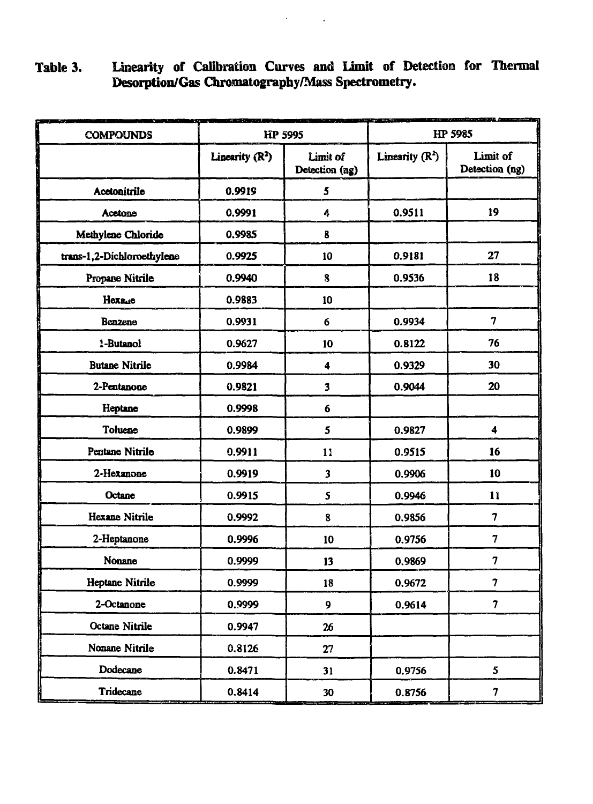# **Table 3. Linearity of Calibration Curves and Limit of Detection for Thermal Desorption/Gas Chromatography/Mass Spectrometry.**

 $\mathcal{L}(\mathcal{A})$  and  $\mathcal{L}(\mathcal{A})$  .

| <b>COMPOUNDS</b>           | HP 5995           |                            | HP 5985                    |                            |
|----------------------------|-------------------|----------------------------|----------------------------|----------------------------|
|                            | Linearity $(R^2)$ | Limit of<br>Detection (ag) | Linearity $(\mathbb{R}^2)$ | Limit of<br>Detection (ng) |
| Acetonitrile               | 0.9919            | 5                          |                            |                            |
| Acetone                    | 0.9991            | 4                          | 0.9511                     | 19                         |
| Methylene Chloride         | 0.9985            | 8                          |                            |                            |
| trans-1,2-Dichloroethylene | 0.9925            | 10                         | 0.9181                     | 27                         |
| Propane Nitrile            | 0.9940            | 8                          | 0.9536                     | 18                         |
| Нехаде                     | 0.9883            | 10                         |                            |                            |
| Benzene                    | 0.9931            | 6                          | 0.9934                     | 7                          |
| 1-Butanol                  | 0.9627            | 10                         | 0.8122                     | 76                         |
| <b>Butane Nitrile</b>      | 0.9984            | 4                          | 0.9329                     | 30                         |
| 2-Pentanone                | 0.9821            | 3                          | 0.9044                     | 20                         |
| Heptane                    | 0.9998            | 6                          |                            |                            |
| Toluene                    | 0.9899            | 5                          | 0.9827                     | 4                          |
| Pentane Nitrile            | 0.9911            | 11                         | 0.9515                     | 16                         |
| 2-Hexanone                 | 0.9919            | 3                          | 0.9906                     | 10                         |
| Octane                     | 0.9915            | 5                          | 0.9946                     | 11                         |
| <b>Hexane Nitrile</b>      | 0.9992            | 8                          | 0.9856                     | 7                          |
| 2-Heptanone                | 0.9996            | 10                         | 0.9756                     | $\overline{\mathbf{7}}$    |
| Nonane                     | 0.9999            | 13                         | 0.9869                     | 7                          |
| Heptane Nitrile            | 0.9999            | 18                         | 0.9672                     | 7                          |
| 2-Octanone                 | 0.9999            | 9                          | 0.9614                     | $\overline{7}$             |
| Octane Nitrile             | 0.9947            | 26                         |                            |                            |
| Nonane Nitrile             | 0.8126            | 27                         |                            |                            |
| Dodecane                   | 0.8471            | 31                         | 0.9756                     | 5                          |
| Tridecane                  | 0.8414            | 30                         | 0.8756                     | 7                          |